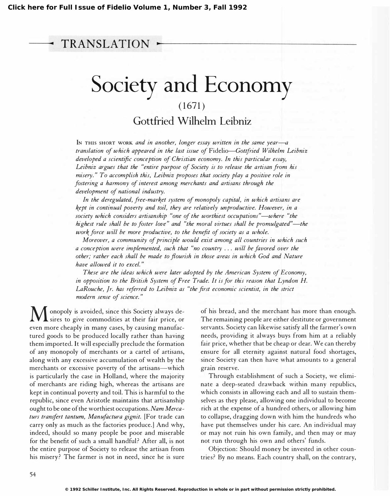## TRANSLATION

## Society and Economy  $(1671)$

Gottfried Wilhelm Leibniz

IN THIS SHORT WORK and in another, longer essay written in the same year- $-a$ translation of which appeared in the last issue of Fidelio-Gottfried Wilhelm Leibniz developed a scientific conception of Christian economy. In this particular essay, Leibniz argues that the "entire purpose of Society is to release the artisan from his misery." To accomplish this, Leibniz proposes that society play a positive role in fostering a harmony of interest among merchants and artisans through the development of national industry.

In the deregulated, free-market system of monopoly capital, in which artisans are kept in continual poverty and toil, they are relatively unproductive. However, in a society which considers artisanship "one of the worthiest occupations"—where "the highest rule shall be to foster love" and "the moral virtues shall be promulgated"—the work force will be more productive, to the benefit of society as a whole.

Moreover, a community of principle would exist among all countries in which such a conception were implemented, such that "no country ... will be favored over the other; rather each shall be made to flourish in those areas in which God and Nature have allowed it to excel."

These are the ideas which were later adopted by the American System of Economy, in opposition to the British System of Free Trade. It is for this reason that Lyndon H. LaRouche, Jr. has referred to Leibniz as "the first economic scientist, in the strict modern sense of science. "

Monopoly is avoided, since this Society always de-sires to give commodities at their fair price, or even more cheaply in many cases, by causing manufactured goods to be produced locally rather than having them imported. It will especially preclude the formation of any monopoly of merchants or a cartel of artisans, along with any excessive accumulation of wealth by the merchants or excessive poverty of the artisans—which is particularly the case in Holland, where the majority of merchants are riding high, whereas the artisans are kept in continual poverty and toil. This is harmful to the republic, since even Aristotle maintains that artisanship ought to be one of the worthiest occupations. Nam Mercaturs transfert tantum, Manufactura gignit. [For trade can carry only as much as the factories produce.] And why, indeed, should so many people be poor and miserable for the benefit of such a small handful? After all, is not the entire purpose of Society to release the artisan from his misery? The farmer is not in need, since he is sure

of his bread, and the merchant has more than enough. The remaining people are either destitute or government servants. Society can likewise satisfy all the farmer's own needs, providing it always buys from him at a reliably fair price, whether that be cheap or dear. We can thereby ensure for all eternity against natural food shortages, since Society can then have what amounts to a general grain reserve.

Through establishment of such a Society, we eliminate a deep-seated drawback within many republics, which consists in allowing each and all to sustain themselves as they please, allowing one individual to become rich at the expense of a hundred others, or allowing him to collapse, dragging down with him the hundreds who have put themselves under his care. An individual may or may not ruin his own family, and then may or may not run through his own and others' funds.

Objection: Should money be invested in other countries? By no means. Each country shall, on the contrary,